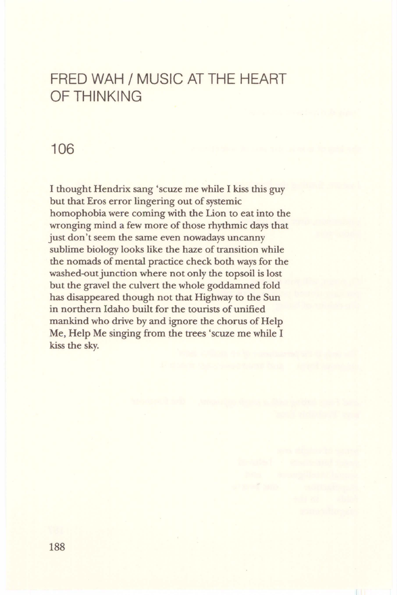## FRED WAH / MUSIC AT THE HEART OF THINKING

## 106

I thought Hendrix sang 'scuze me while I kiss this guy but that Eros error lingering out of systemic homophobia were coming with the Lion to eat into the wronging mind a few more of those rhythmic days that just don't seem the same even nowadays uncanny sublime biology looks like the haze of transition while the nomads of mental practice check both ways for the washed-out junction where not only the topsoil is lost but the gravel the culvert the whole goddamned fold has disappeared though not that Highway to the Sun in northern Idaho built for the tourists of unified mankind who drive by and ignore the chorus of Help Me, Help Me singing from the trees 'scuze me while I kiss the sky.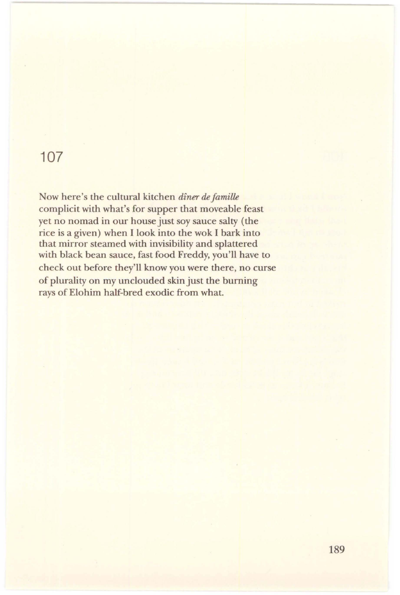## **107**

Now here's the cultural kitchen *diner de Jamille*  complicit with what's for supper that moveable feast yet no nomad in our house just soy sauce salty (the rice is a given) when I look into the wok I bark into that mirror steamed with invisibility and splattered with black bean sauce, fast food Freddy, you'll have to check out before they'll know you were there, no curse of plurality on my unclouded skin just the burning rays of Elohim half-bred exodic from what.